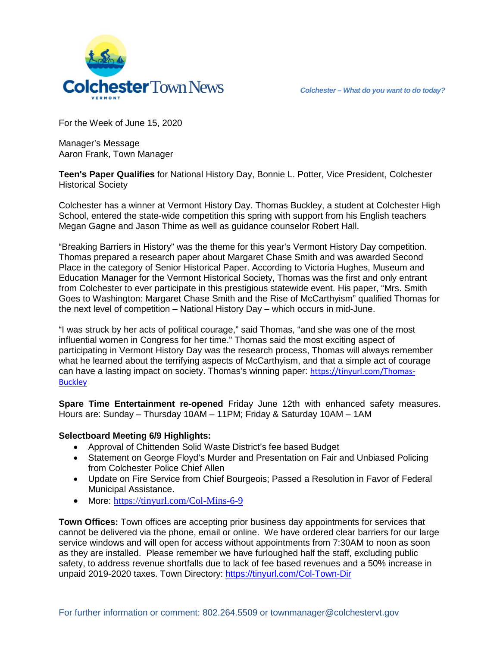

For the Week of June 15, 2020

Manager's Message Aaron Frank, Town Manager

**Teen's Paper Qualifies** for National History Day, Bonnie L. Potter, Vice President, Colchester Historical Society

Colchester has a winner at Vermont History Day. Thomas Buckley, a student at Colchester High School, entered the state-wide competition this spring with support from his English teachers Megan Gagne and Jason Thime as well as guidance counselor Robert Hall.

"Breaking Barriers in History" was the theme for this year's Vermont History Day competition. Thomas prepared a research paper about Margaret Chase Smith and was awarded Second Place in the category of Senior Historical Paper. According to Victoria Hughes, Museum and Education Manager for the Vermont Historical Society, Thomas was the first and only entrant from Colchester to ever participate in this prestigious statewide event. His paper, "Mrs. Smith Goes to Washington: Margaret Chase Smith and the Rise of McCarthyism" qualified Thomas for the next level of competition – National History Day – which occurs in mid-June.

"I was struck by her acts of political courage," said Thomas, "and she was one of the most influential women in Congress for her time." Thomas said the most exciting aspect of participating in Vermont History Day was the research process, Thomas will always remember what he learned about the terrifying aspects of McCarthyism, and that a simple act of courage can have a lasting impact on society. Thomas's winning paper: [https://tinyurl.com/Thomas-](https://tinyurl.com/Thomas-Buckley)**[Buckley](https://tinyurl.com/Thomas-Buckley)** 

**Spare Time Entertainment re-opened** Friday June 12th with enhanced safety measures. Hours are: Sunday – Thursday 10AM – 11PM; Friday & Saturday 10AM – 1AM

## **Selectboard Meeting 6/9 Highlights:**

- Approval of Chittenden Solid Waste District's fee based Budget
- Statement on George Floyd's Murder and Presentation on Fair and Unbiased Policing from Colchester Police Chief Allen
- Update on Fire Service from Chief Bourgeois; Passed a Resolution in Favor of Federal Municipal Assistance.
- More: <https://tinyurl.com/Col-Mins-6-9>

**Town Offices:** Town offices are accepting prior business day appointments for services that cannot be delivered via the phone, email or online. We have ordered clear barriers for our large service windows and will open for access without appointments from 7:30AM to noon as soon as they are installed. Please remember we have furloughed half the staff, excluding public safety, to address revenue shortfalls due to lack of fee based revenues and a 50% increase in unpaid 2019-2020 taxes. Town Directory:<https://tinyurl.com/Col-Town-Dir>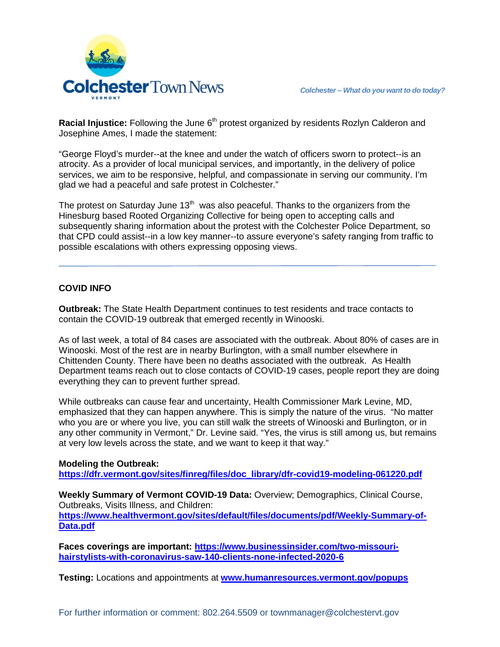

Racial Injustice: Following the June 6<sup>th</sup> protest organized by residents Rozlyn Calderon and Josephine Ames, I made the statement:

"George Floyd's murder--at the knee and under the watch of officers sworn to protect--is an atrocity. As a provider of local municipal services, and importantly, in the delivery of police services, we aim to be responsive, helpful, and compassionate in serving our community. I'm glad we had a peaceful and safe protest in Colchester."

The protest on Saturday June  $13<sup>th</sup>$  was also peaceful. Thanks to the organizers from the Hinesburg based Rooted Organizing Collective for being open to accepting calls and subsequently sharing information about the protest with the Colchester Police Department, so that CPD could assist--in a low key manner--to assure everyone's safety ranging from traffic to possible escalations with others expressing opposing views.

## **COVID INFO**

**Outbreak:** The State Health Department continues to test residents and trace contacts to contain the COVID-19 outbreak that emerged recently in Winooski.

As of last week, a total of 84 cases are associated with the outbreak. About 80% of cases are in Winooski. Most of the rest are in nearby Burlington, with a small number elsewhere in Chittenden County. There have been no deaths associated with the outbreak. As Health Department teams reach out to close contacts of COVID-19 cases, people report they are doing everything they can to prevent further spread.

While outbreaks can cause fear and uncertainty, Health Commissioner Mark Levine, MD, emphasized that they can happen anywhere. This is simply the nature of the virus. "No matter who you are or where you live, you can still walk the streets of Winooski and Burlington, or in any other community in Vermont," Dr. Levine said. "Yes, the virus is still among us, but remains at very low levels across the state, and we want to keep it that way."

## **Modeling the Outbreak:**

**[https://dfr.vermont.gov/sites/finreg/files/doc\\_library/dfr-covid19-modeling-061220.pdf](https://dfr.vermont.gov/sites/finreg/files/doc_library/dfr-covid19-modeling-061220.pdf)**

**Weekly Summary of Vermont COVID-19 Data:** Overview; Demographics, Clinical Course, Outbreaks, Visits Illness, and Children: **[https://www.healthvermont.gov/sites/default/files/documents/pdf/Weekly-Summary-of-](https://www.healthvermont.gov/sites/default/files/documents/pdf/Weekly-Summary-of-Data.pdf)[Data.pdf](https://www.healthvermont.gov/sites/default/files/documents/pdf/Weekly-Summary-of-Data.pdf)**

**Faces coverings are important: [https://www.businessinsider.com/two-missouri](https://www.businessinsider.com/two-missouri-hairstylists-with-coronavirus-saw-140-clients-none-infected-2020-6)[hairstylists-with-coronavirus-saw-140-clients-none-infected-2020-6](https://www.businessinsider.com/two-missouri-hairstylists-with-coronavirus-saw-140-clients-none-infected-2020-6)**

**Testing:** Locations and appointments at **[www.humanresources.vermont.gov/popups](http://www.humanresources.vermont.gov/popups)**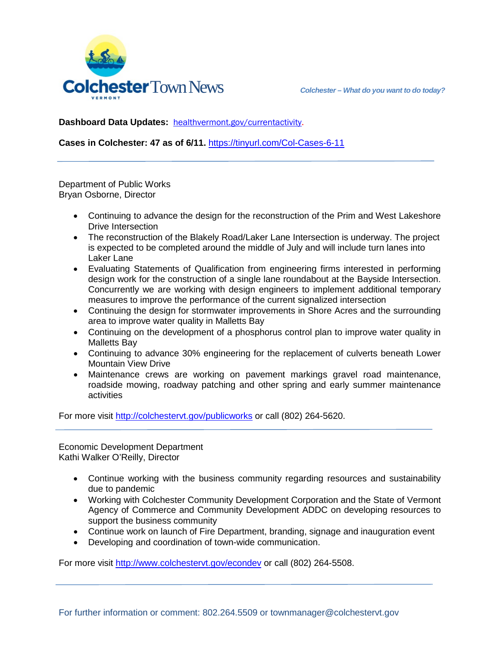

**Dashboard Data Updates:** [healthvermont.gov/currentactivity.](http://healthvermont.gov/currentactivity)

**Cases in Colchester: 47 as of 6/11.** <https://tinyurl.com/Col-Cases-6-11>

Department of Public Works Bryan Osborne, Director

- Continuing to advance the design for the reconstruction of the Prim and West Lakeshore Drive Intersection
- The reconstruction of the Blakely Road/Laker Lane Intersection is underway. The project is expected to be completed around the middle of July and will include turn lanes into Laker Lane
- Evaluating Statements of Qualification from engineering firms interested in performing design work for the construction of a single lane roundabout at the Bayside Intersection. Concurrently we are working with design engineers to implement additional temporary measures to improve the performance of the current signalized intersection
- Continuing the design for stormwater improvements in Shore Acres and the surrounding area to improve water quality in Malletts Bay
- Continuing on the development of a phosphorus control plan to improve water quality in Malletts Bay
- Continuing to advance 30% engineering for the replacement of culverts beneath Lower Mountain View Drive
- Maintenance crews are working on pavement markings gravel road maintenance, roadside mowing, roadway patching and other spring and early summer maintenance activities

For more visit<http://colchestervt.gov/publicworks> or call (802) 264-5620.

Economic Development Department Kathi Walker O'Reilly, Director

- Continue working with the business community regarding resources and sustainability due to pandemic
- Working with Colchester Community Development Corporation and the State of Vermont Agency of Commerce and Community Development ADDC on developing resources to support the business community
- Continue work on launch of Fire Department, branding, signage and inauguration event
- Developing and coordination of town-wide communication.

For more visit [http://www.colchestervt.gov/e](http://www.colchestervt.gov/)condev or call (802) 264-5508.